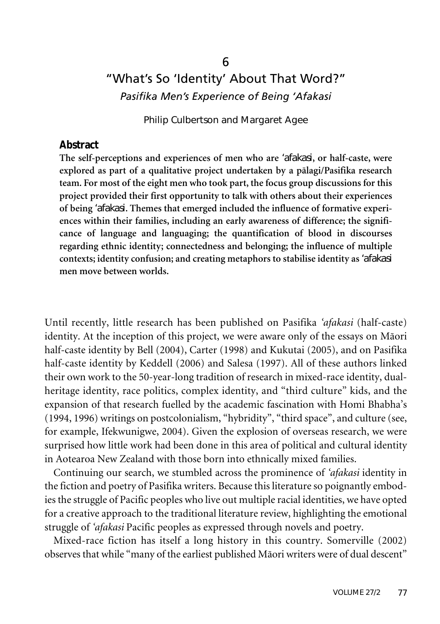# "What's So 'Identity' About That Word?" *Pasifika Men's Experience of Being 'Afakasi*

Philip Culbertson and Margaret Agee

#### **Abstract**

**The self-perceptions and experiences of men who are** *'afakasi***, or half-caste, were explored as part of a qualitative project undertaken by a pälagi/Pasifika research team. For most of the eight men who took part, the focus group discussions for this project provided their first opportunity to talk with others about their experiences of being** *'afakasi***. Themes that emerged included the influence of formative experiences within their families, including an early awareness of difference; the significance of language and languaging; the quantification of blood in discourses regarding ethnic identity; connectedness and belonging; the influence of multiple contexts; identity confusion; and creating metaphors to stabilise identity as** *'afakasi* **men move between worlds.**

Until recently, little research has been published on Pasifika *'afakasi* (half-caste) identity. At the inception of this project, we were aware only of the essays on Mäori half-caste identity by Bell (2004), Carter (1998) and Kukutai (2005), and on Pasifika half-caste identity by Keddell (2006) and Salesa (1997). All of these authors linked their own work to the 50-year-long tradition of research in mixed-race identity, dualheritage identity, race politics, complex identity, and "third culture" kids, and the expansion of that research fuelled by the academic fascination with Homi Bhabha's (1994, 1996) writings on postcolonialism, "hybridity", "third space", and culture (see, for example, Ifekwunigwe, 2004). Given the explosion of overseas research, we were surprised how little work had been done in this area of political and cultural identity in Aotearoa New Zealand with those born into ethnically mixed families.

Continuing our search, we stumbled across the prominence of *'afakasi* identity in the fiction and poetry of Pasifika writers. Because this literature so poignantly embodies the struggle of Pacific peoples who live out multiple racial identities, we have opted for a creative approach to the traditional literature review, highlighting the emotional struggle of *'afakasi* Pacific peoples as expressed through novels and poetry.

Mixed-race fiction has itself a long history in this country. Somerville (2002) observes that while "many of the earliest published Mäori writers were of dual descent"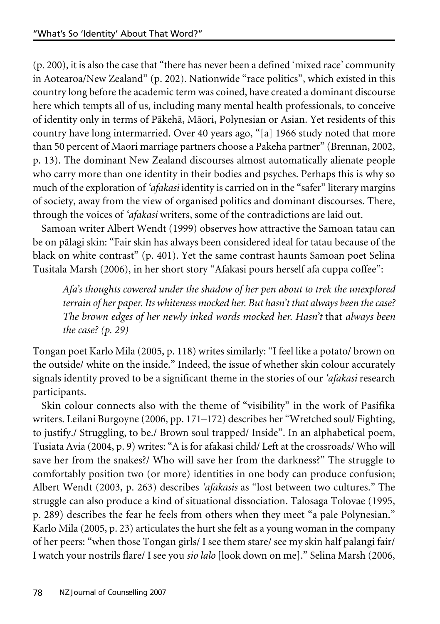(p. 200), it is also the case that "there has never been a defined 'mixed race' community in Aotearoa/New Zealand" (p. 202). Nationwide "race politics", which existed in this country long before the academic term was coined, have created a dominant discourse here which tempts all of us, including many mental health professionals, to conceive of identity only in terms of Päkehä, Mäori, Polynesian or Asian. Yet residents of this country have long intermarried. Over 40 years ago, "[a] 1966 study noted that more than 50 percent of Maori marriage partners choose a Pakeha partner" (Brennan, 2002, p. 13). The dominant New Zealand discourses almost automatically alienate people who carry more than one identity in their bodies and psyches. Perhaps this is why so much of the exploration of *'afakasi* identity is carried on in the "safer" literary margins of society, away from the view of organised politics and dominant discourses. There, through the voices of *'afakasi* writers, some of the contradictions are laid out.

Samoan writer Albert Wendt (1999) observes how attractive the Samoan tatau can be on pälagi skin: "Fair skin has always been considered ideal for tatau because of the black on white contrast" (p. 401). Yet the same contrast haunts Samoan poet Selina Tusitala Marsh (2006), in her short story "Afakasi pours herself afa cuppa coffee":

*Afa's thoughts cowered under the shadow of her pen about to trek the unexplored terrain of her paper.Its whiteness mocked her. But hasn't that always been thecase? The brown edges of her newly inked words mocked her. Hasn't* that *always been the case? (p. 29)*

Tongan poet Karlo Mila (2005, p. 118) writes similarly: "I feel like a potato/ brown on the outside/ white on the inside." Indeed, the issue of whether skin colour accurately signals identity proved to be a significant theme in the stories of our *'afakasi* research participants.

Skin colour connects also with the theme of "visibility" in the work of Pasifika writers. Leilani Burgoyne (2006, pp. 171–172) describes her "Wretched soul/ Fighting, to justify./ Struggling, to be./ Brown soul trapped/ Inside". In an alphabetical poem, Tusiata Avia (2004, p. 9) writes: "A is for afakasi child/ Left at the crossroads/ Who will save her from the snakes?/ Who will save her from the darkness?" The struggle to comfortably position two (or more) identities in one body can produce confusion; Albert Wendt (2003, p. 263) describes *'afakasis* as "lost between two cultures." The struggle can also produce a kind of situational dissociation. Talosaga Tolovae (1995, p. 289) describes the fear he feels from others when they meet "a pale Polynesian." Karlo Mila (2005, p. 23) articulates the hurt she felt as a young woman in the company of her peers: "when those Tongan girls/ I see them stare/ see my skin half palangi fair/ I watch your nostrils flare/ I see you *sio lalo* [look down on me]." Selina Marsh (2006,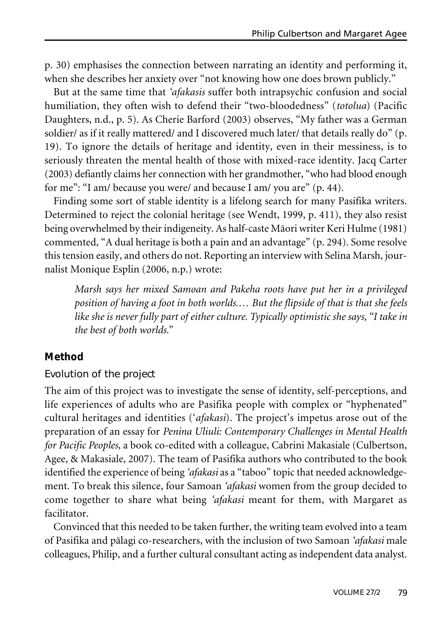p. 30) emphasises the connection between narrating an identity and performing it, when she describes her anxiety over "not knowing how one does brown publicly."

But at the same time that *'afakasis* suffer both intrapsychic confusion and social humiliation, they often wish to defend their "two-bloodedness" (*totolua*) (Pacific Daughters, n.d., p. 5). As Cherie Barford (2003) observes, "My father was a German soldier/ as if it really mattered/ and I discovered much later/ that details really do" (p. 19). To ignore the details of heritage and identity, even in their messiness, is to seriously threaten the mental health of those with mixed-race identity. Jacq Carter (2003) defiantly claims her connection with her grandmother, "who had blood enough for me": "I am/ because you were/ and because I am/ you are" (p. 44).

Finding some sort of stable identity is a lifelong search for many Pasifika writers. Determined to reject the colonial heritage (see Wendt, 1999, p. 411), they also resist being overwhelmed by their indigeneity. As half-caste Māori writer Keri Hulme (1981) commented, "A dual heritage is both a pain and an advantage" (p. 294). Some resolve this tension easily, and others do not. Reporting an interview with Selina Marsh, journalist Monique Esplin (2006, n.p.) wrote:

*Marsh says her mixed Samoan and Pakeha roots have put her in a privileged position of having a foot in both worlds.… But the flipside of that is that she feels like she is never fully part of either culture. Typically optimistic she says, "I take in the best of both worlds."*

## **Method**

#### Evolution of the project

The aim of this project was to investigate the sense of identity, self-perceptions, and life experiences of adults who are Pasifika people with complex or "hyphenated" cultural heritages and identities ('*afakasi*). The project's impetus arose out of the preparation of an essay for *Penina Uliuli: Contemporary Challenges in Mental Health for Pacific Peoples*, a book co-edited with a colleague, Cabrini Makasiale (Culbertson, Agee, & Makasiale, 2007). The team of Pasifika authors who contributed to the book identified the experience of being *'afakasi* as a "taboo" topic that needed acknowledgement. To break this silence, four Samoan *'afakasi* women from the group decided to come together to share what being *'afakasi* meant for them, with Margaret as facilitator.

Convinced that this needed to be taken further, the writing team evolved into a team of Pasifika and pälagi co-researchers, with the inclusion of two Samoan *'afakasi* male colleagues, Philip, and a further cultural consultant acting as independent data analyst.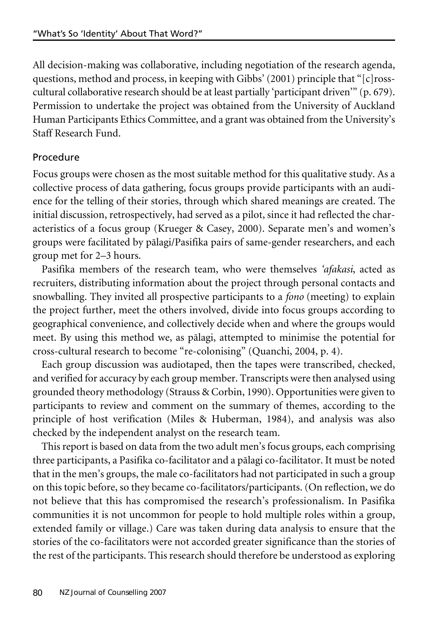All decision-making was collaborative, including negotiation of the research agenda, questions, method and process, in keeping with Gibbs' (2001) principle that "[c]rosscultural collaborative research should be at least partially 'participant driven'" (p. 679). Permission to undertake the project was obtained from the University of Auckland Human Participants Ethics Committee, and a grant was obtained from the University's Staff Research Fund.

#### **Procedure**

Focus groups were chosen as the most suitable method for this qualitative study. As a collective process of data gathering, focus groups provide participants with an audience for the telling of their stories, through which shared meanings are created. The initial discussion, retrospectively, had served as a pilot, since it had reflected the characteristics of a focus group (Krueger & Casey, 2000). Separate men's and women's groups were facilitated by pälagi/Pasifika pairs of same-gender researchers, and each group met for 2–3 hours.

Pasifika members of the research team, who were themselves *'afakasi*, acted as recruiters, distributing information about the project through personal contacts and snowballing. They invited all prospective participants to a *fono* (meeting) to explain the project further, meet the others involved, divide into focus groups according to geographical convenience, and collectively decide when and where the groups would meet. By using this method we, as pälagi, attempted to minimise the potential for cross-cultural research to become "re-colonising" (Quanchi, 2004, p. 4).

Each group discussion was audiotaped, then the tapes were transcribed, checked, and verified for accuracy by each group member. Transcripts were then analysed using grounded theory methodology (Strauss & Corbin, 1990). Opportunities were given to participants to review and comment on the summary of themes, according to the principle of host verification (Miles & Huberman, 1984), and analysis was also checked by the independent analyst on the research team.

This report is based on data from the two adult men's focus groups, each comprising three participants, a Pasifika co-facilitator and a pälagi co-facilitator. It must be noted that in the men's groups, the male co-facilitators had not participated in such a group on this topic before, so they became co-facilitators/participants. (On reflection, we do not believe that this has compromised the research's professionalism. In Pasifika communities it is not uncommon for people to hold multiple roles within a group, extended family or village.) Care was taken during data analysis to ensure that the stories of the co-facilitators were not accorded greater significance than the stories of the rest of the participants. This research should therefore be understood as exploring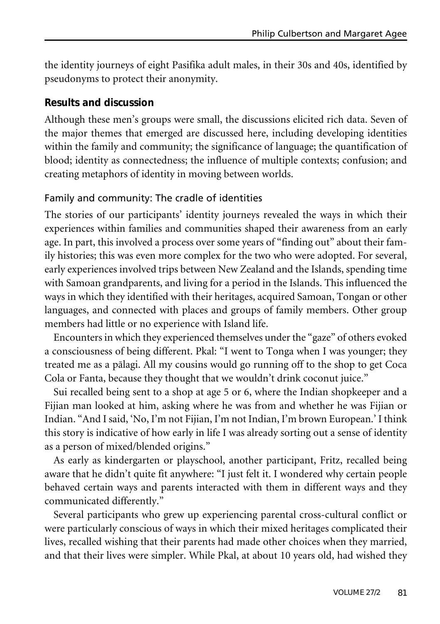the identity journeys of eight Pasifika adult males, in their 30s and 40s, identified by pseudonyms to protect their anonymity.

#### **Results and discussion**

Although these men's groups were small, the discussions elicited rich data. Seven of the major themes that emerged are discussed here, including developing identities within the family and community; the significance of language; the quantification of blood; identity as connectedness; the influence of multiple contexts; confusion; and creating metaphors of identity in moving between worlds.

## Family and community: The cradle of identities

The stories of our participants' identity journeys revealed the ways in which their experiences within families and communities shaped their awareness from an early age. In part, this involved a process over some years of "finding out" about their family histories; this was even more complex for the two who were adopted. For several, early experiences involved trips between New Zealand and the Islands, spending time with Samoan grandparents, and living for a period in the Islands. This influenced the ways in which they identified with their heritages, acquired Samoan, Tongan or other languages, and connected with places and groups of family members. Other group members had little or no experience with Island life.

Encounters in which they experienced themselves underthe "gaze" of others evoked a consciousness of being different. Pkal: "I went to Tonga when I was younger; they treated me as a pälagi. All my cousins would go running off to the shop to get Coca Cola or Fanta, because they thought that we wouldn't drink coconut juice."

Sui recalled being sent to a shop at age 5 or 6, where the Indian shopkeeper and a Fijian man looked at him, asking where he was from and whether he was Fijian or Indian. "And I said, 'No, I'm not Fijian, I'm not Indian, I'm brown European.' I think this story is indicative of how early in life I was already sorting out a sense of identity as a person of mixed/blended origins."

As early as kindergarten or playschool, another participant, Fritz, recalled being aware that he didn't quite fit anywhere: "I just felt it. I wondered why certain people behaved certain ways and parents interacted with them in different ways and they communicated differently."

Several participants who grew up experiencing parental cross-cultural conflict or were particularly conscious of ways in which their mixed heritages complicated their lives, recalled wishing that their parents had made other choices when they married, and that their lives were simpler. While Pkal, at about 10 years old, had wished they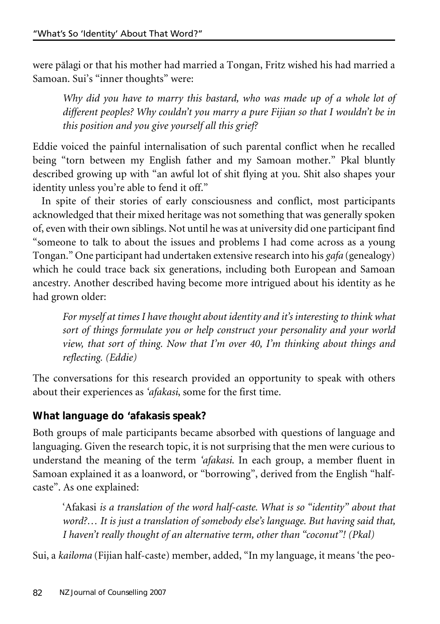were pälagi or that his mother had married a Tongan, Fritz wished his had married a Samoan. Sui's "inner thoughts" were:

*Why did you have to marry this bastard, who was made up of a whole lot of different peoples? Why couldn't you marry a pure Fijian so that I wouldn't be in this position and you give yourself all this grief?*

Eddie voiced the painful internalisation of such parental conflict when he recalled being "torn between my English father and my Samoan mother." Pkal bluntly described growing up with "an awful lot of shit flying at you. Shit also shapes your identity unless you're able to fend it off."

In spite of their stories of early consciousness and conflict, most participants acknowledged that their mixed heritage was not something that was generally spoken of, even with their own siblings. Not until he was at university did one participant find "someone to talk to about the issues and problems I had come across as a young Tongan." One participant had undertaken extensive research into his *gafa* (genealogy) which he could trace back six generations, including both European and Samoan ancestry. Another described having become more intrigued about his identity as he had grown older:

*For myself at times I have thought about identity and it's interesting to think what sort of things formulate you or help construct your personality and your world view, that sort of thing. Now that I'm over 40, I'm thinking about things and reflecting. (Eddie)*

The conversations for this research provided an opportunity to speak with others about their experiences as *'afakasi*, some for the first time.

# **What language do 'afakasis speak?**

Both groups of male participants became absorbed with questions of language and languaging. Given the research topic, it is not surprising that the men were curious to understand the meaning of the term *'afakasi*. In each group, a member fluent in Samoan explained it as a loanword, or "borrowing", derived from the English "halfcaste". As one explained:

'Afakasi *is a translation of the word half-caste. What is so "identity" about that word?… It is just a translation of somebody else's language. But having said that, I haven't really thought of an alternative term, other than "coconut"! (Pkal)*

Sui, a *kailoma* (Fijian half-caste) member, added, "In my language, it means 'the peo-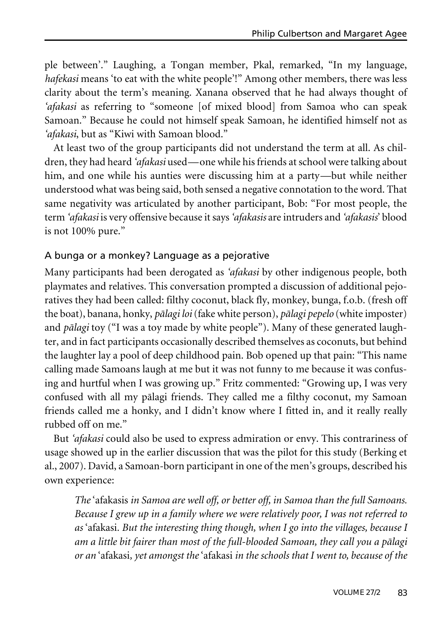ple between'." Laughing, a Tongan member, Pkal, remarked, "In my language, *hafekasi* means 'to eat with the white people'!" Among other members, there was less clarity about the term's meaning. Xanana observed that he had always thought of *'afakasi* as referring to "someone [of mixed blood] from Samoa who can speak Samoan." Because he could not himself speak Samoan, he identified himself not as *'afakasi*, but as "Kiwi with Samoan blood."

At least two of the group participants did not understand the term at all. As children, they had heard *'afakasi* used—one while his friends at school were talking about him, and one while his aunties were discussing him at a party—but while neither understood what was being said, both sensed a negative connotation to the word. That same negativity was articulated by another participant, Bob: "For most people, the term *'afakasi* is very offensive because it says *'afakasis* are intruders and *'afakasis*' blood is not 100% pure."

#### A bunga or a monkey? Language as a pejorative

Many participants had been derogated as *'afakasi* by other indigenous people, both playmates and relatives. This conversation prompted a discussion of additional pejoratives they had been called: filthy coconut, black fly, monkey, bunga, f.o.b. (fresh off the boat), banana, honky, *pälagi loi*(fake white person), *pälagi pepelo* (white imposter) and *pälagi* toy ("I was a toy made by white people"). Many of these generated laughter, and in fact participants occasionally described themselves as coconuts, but behind the laughter lay a pool of deep childhood pain. Bob opened up that pain: "This name calling made Samoans laugh at me but it was not funny to me because it was confusing and hurtful when I was growing up." Fritz commented: "Growing up, I was very confused with all my pälagi friends. They called me a filthy coconut, my Samoan friends called me a honky, and I didn't know where I fitted in, and it really really rubbed off on me."

But *'afakasi* could also be used to express admiration or envy. This contrariness of usage showed up in the earlier discussion that was the pilot for this study (Berking et al., 2007). David, a Samoan-born participant in one of the men's groups, described his own experience:

*The* 'afakasis *in Samoa are well off, or better off, in Samoa than the full Samoans. Because I grew up in a family where we were relatively poor, I was not referred to as* 'afakasi*. But the interesting thing though, when I go into the villages, because I am a little bit fairer than most of the full-blooded Samoan, they call you a pälagi or an* 'afakasi*, yet amongst the* 'afakasi *in the schools that I went to, because of the*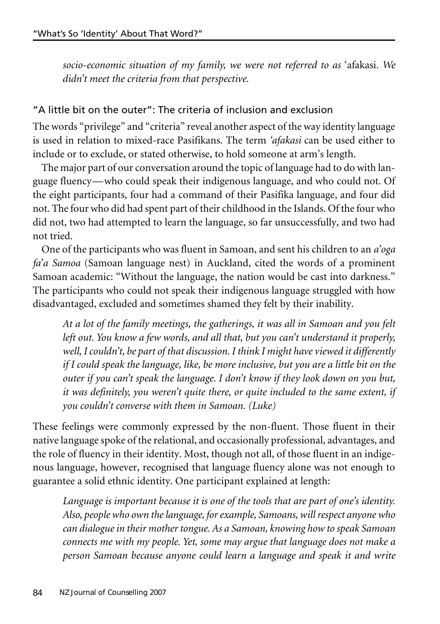*socio-economic situation of my family, we were not referred to as* 'afakasi*. We didn't meet the criteria from that perspective.*

#### "A little bit on the outer": The criteria of inclusion and exclusion

The words "privilege" and "criteria" reveal another aspect of the way identity language is used in relation to mixed-race Pasifikans. The term *'afakasi* can be used either to include or to exclude, or stated otherwise, to hold someone at arm's length.

The major part of our conversation around the topic of language had to do with language fluency—who could speak their indigenous language, and who could not. Of the eight participants, four had a command of their Pasifika language, and four did not. The four who did had spent part of their childhood in the Islands. Of the four who did not, two had attempted to learn the language, so far unsuccessfully, and two had not tried.

One of the participants who was fluent in Samoan, and sent his children to an *a'oga fa'a Samoa* (Samoan language nest) in Auckland, cited the words of a prominent Samoan academic: "Without the language, the nation would be cast into darkness." The participants who could not speak their indigenous language struggled with how disadvantaged, excluded and sometimes shamed they felt by their inability.

*At a lot of the family meetings, the gatherings, it was all in Samoan and you felt left out. You know a few words, and all that, but you can't understand it properly, well, I couldn't, be part of that discussion. I think I might have viewed it differently if I could speak the language, like, be more inclusive, but you are a little bit on the outer if you can't speak the language. I don't know if they look down on you but, it was definitely, you weren't quite there, or quite included to the same extent, if you couldn't converse with them in Samoan. (Luke)*

These feelings were commonly expressed by the non-fluent. Those fluent in their native language spoke of the relational, and occasionally professional, advantages, and the role of fluency in their identity. Most, though not all, of those fluent in an indigenous language, however, recognised that language fluency alone was not enough to guarantee a solid ethnic identity. One participant explained at length:

*Language is important because it is one of the tools that are part of one's identity. Also, people who own thelanguage, forexample, Samoans, will respect anyone who can dialoguein their mother tongue.As a Samoan, knowing how to speak Samoan connects me with my people. Yet, some may argue that language does not make a person Samoan because anyone could learn a language and speak it and write*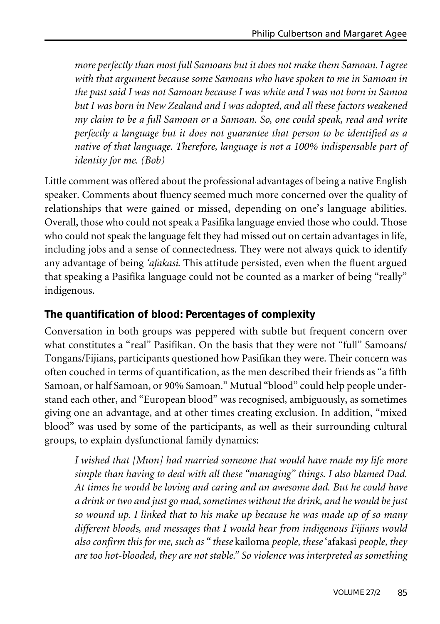*more perfectly than most full Samoans but it does not make them Samoan. I agree with that argument because some Samoans who have spoken to me in Samoan in the past said I was not Samoan because I was white and I was not born in Samoa but I was born in New Zealand and I was adopted, and all these factors weakened my claim to be a full Samoan or a Samoan. So, one could speak, read and write perfectly a language but it does not guarantee that person to be identified as a native of that language. Therefore, language is not a 100% indispensable part of identity for me. (Bob)*

Little comment was offered about the professional advantages of being a native English speaker. Comments about fluency seemed much more concerned over the quality of relationships that were gained or missed, depending on one's language abilities. Overall, those who could not speak a Pasifika language envied those who could. Those who could not speak the language felt they had missed out on certain advantages in life, including jobs and a sense of connectedness. They were not always quick to identify any advantage of being *'afakasi*. This attitude persisted, even when the fluent argued that speaking a Pasifika language could not be counted as a marker of being "really" indigenous.

### **The quantification of blood: Percentages of complexity**

Conversation in both groups was peppered with subtle but frequent concern over what constitutes a "real" Pasifikan. On the basis that they were not "full" Samoans/ Tongans/Fijians, participants questioned how Pasifikan they were. Their concern was often couched in terms of quantification, as the men described their friends as "a fifth Samoan, or half Samoan, or 90% Samoan." Mutual "blood" could help people understand each other, and "European blood" was recognised, ambiguously, as sometimes giving one an advantage, and at other times creating exclusion. In addition, "mixed blood" was used by some of the participants, as well as their surrounding cultural groups, to explain dysfunctional family dynamics:

*I wished that [Mum] had married someone that would have made my life more simple than having to deal with all these "managing" things. I also blamed Dad. At times he would be loving and caring and an awesome dad. But he could have a drink or two and just go mad, sometimes without the drink, and he would bejust so wound up. I linked that to his make up because he was made up of so many different bloods, and messages that I would hear from indigenous Fijians would also confirm this for me, such as " these* kailoma *people, these* 'afakasi *people, they are too hot-blooded, they are not stable." So violence was interpreted as something*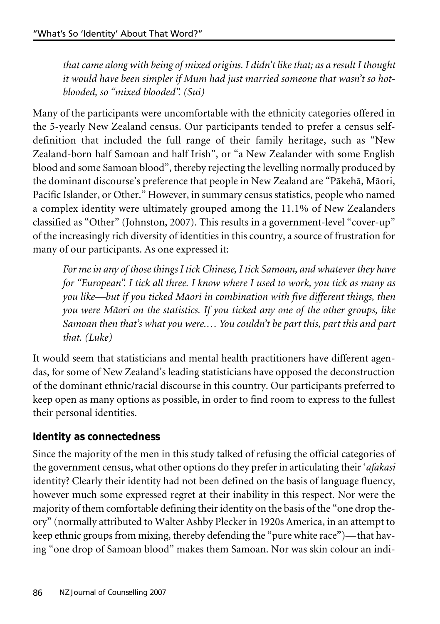*that came along with being of mixed origins. I didn't likethat; as a result I thought it would have been simpler if Mum had just married someone that wasn't so hotblooded, so "mixed blooded". (Sui)*

Many of the participants were uncomfortable with the ethnicity categories offered in the 5-yearly New Zealand census. Our participants tended to prefer a census selfdefinition that included the full range of their family heritage, such as "New Zealand-born half Samoan and half Irish", or "a New Zealander with some English blood and some Samoan blood", thereby rejecting the levelling normally produced by the dominant discourse's preference that people in New Zealand are "Päkehä, Mäori, Pacific Islander, or Other." However, in summary census statistics, people who named a complex identity were ultimately grouped among the 11.1% of New Zealanders classified as "Other" (Johnston, 2007). This results in a government-level "cover-up" of the increasingly rich diversity of identities in this country, a source of frustration for many of our participants. As one expressed it:

*For mein any of thosethings I tick Chinese, I tick Samoan, and whatever they have for "European". I tick all three. I know where I used to work, you tick as many as you like—but if you ticked Mäori in combination with five different things, then you were Mäori on the statistics. If you ticked any one of the other groups, like Samoan then that's what you were.… You couldn't be part this, part this and part that. (Luke)*

It would seem that statisticians and mental health practitioners have different agendas, for some of New Zealand's leading statisticians have opposed the deconstruction of the dominant ethnic/racial discourse in this country. Our participants preferred to keep open as many options as possible, in order to find room to express to the fullest their personal identities.

# **Identity as connectedness**

Since the majority of the men in this study talked of refusing the official categories of the government census, what other options do they prefer in articulating their '*afakasi* identity? Clearly their identity had not been defined on the basis of language fluency, however much some expressed regret at their inability in this respect. Nor were the majority of them comfortable defining their identity on the basis of the "one drop theory" (normally attributed to Walter Ashby Plecker in 1920s America, in an attempt to keep ethnic groups from mixing, thereby defending the "pure white race")—that having "one drop of Samoan blood" makes them Samoan. Nor was skin colour an indi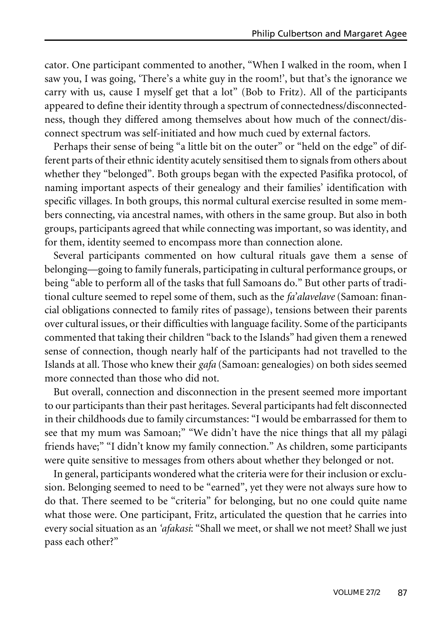cator. One participant commented to another, "When I walked in the room, when I saw you, I was going, 'There's a white guy in the room!', but that's the ignorance we carry with us, cause I myself get that a lot" (Bob to Fritz). All of the participants appeared to define their identity through a spectrum of connectedness/disconnectedness, though they differed among themselves about how much of the connect/disconnect spectrum was self-initiated and how much cued by external factors.

Perhaps their sense of being "a little bit on the outer" or "held on the edge" of different parts of their ethnic identity acutely sensitised them to signals from others about whether they "belonged". Both groups began with the expected Pasifika protocol, of naming important aspects of their genealogy and their families' identification with specific villages. In both groups, this normal cultural exercise resulted in some members connecting, via ancestral names, with others in the same group. But also in both groups, participants agreed that while connecting was important, so was identity, and for them, identity seemed to encompass more than connection alone.

Several participants commented on how cultural rituals gave them a sense of belonging—going to family funerals, participating in cultural performance groups, or being "able to perform all of the tasks that full Samoans do." But other parts of traditional culture seemed to repel some of them, such as the *fa'alavelave* (Samoan: financial obligations connected to family rites of passage), tensions between their parents over cultural issues, or their difficulties with language facility. Some of the participants commented that taking their children "back to the Islands" had given them a renewed sense of connection, though nearly half of the participants had not travelled to the Islands at all. Those who knew their *gafa* (Samoan: genealogies) on both sides seemed more connected than those who did not.

But overall, connection and disconnection in the present seemed more important to our participants than their past heritages. Several participants had felt disconnected in their childhoods due to family circumstances: "I would be embarrassed for them to see that my mum was Samoan;" "We didn't have the nice things that all my pälagi friends have;" "I didn't know my family connection." As children, some participants were quite sensitive to messages from others about whether they belonged or not.

In general, participants wondered what the criteria were for their inclusion or exclusion. Belonging seemed to need to be "earned", yet they were not always sure how to do that. There seemed to be "criteria" for belonging, but no one could quite name what those were. One participant, Fritz, articulated the question that he carries into every social situation as an *'afakasi*: "Shall we meet, or shall we not meet? Shall we just pass each other?"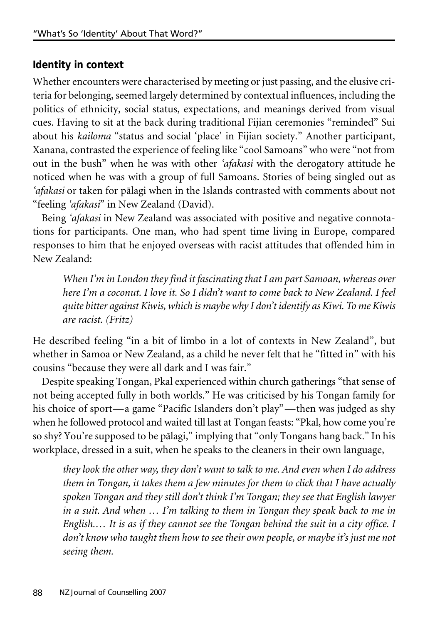# **Identity in context**

Whether encounters were characterised by meeting or just passing, and the elusive criteria for belonging, seemed largely determined by contextual influences, including the politics of ethnicity, social status, expectations, and meanings derived from visual cues. Having to sit at the back during traditional Fijian ceremonies "reminded" Sui about his *kailoma* "status and social 'place' in Fijian society." Another participant, Xanana, contrasted the experience of feeling like "cool Samoans" who were "not from out in the bush" when he was with other *'afakasi* with the derogatory attitude he noticed when he was with a group of full Samoans. Stories of being singled out as *'afakasi* or taken for pälagi when in the Islands contrasted with comments about not "feeling *'afakasi*" in New Zealand (David).

Being *'afakasi* in New Zealand was associated with positive and negative connotations for participants. One man, who had spent time living in Europe, compared responses to him that he enjoyed overseas with racist attitudes that offended him in New Zealand:

*When I'm in London they find it fascinating that I am part Samoan, whereas over here I'm a coconut. I love it. So I didn't want to come back to New Zealand. I feel quite bitter against Kiwis, which is maybe why I don't identify as Kiwi. To me Kiwis are racist. (Fritz)*

He described feeling "in a bit of limbo in a lot of contexts in New Zealand", but whether in Samoa or New Zealand, as a child he never felt that he "fitted in" with his cousins "because they were all dark and I was fair."

Despite speaking Tongan, Pkal experienced within church gatherings "that sense of not being accepted fully in both worlds." He was criticised by his Tongan family for his choice of sport—a game "Pacific Islanders don't play"—then was judged as shy when he followed protocol and waited till last at Tongan feasts: "Pkal, how come you're so shy? You're supposed to be pälagi," implying that "only Tongans hang back." In his workplace, dressed in a suit, when he speaks to the cleaners in their own language,

*they look the other way, they don't want to talk to me. And even when I do address them in Tongan, it takes them a few minutes for them to click that I have actually spoken Tongan and they still don't think I'm Tongan; they see that English lawyer in a suit. And when … I'm talking to them in Tongan they speak back to me in English.… It is as if they cannot see the Tongan behind the suit in a city office. I don't know who taught them how to seetheir own people, or maybeit's just me not seeing them.*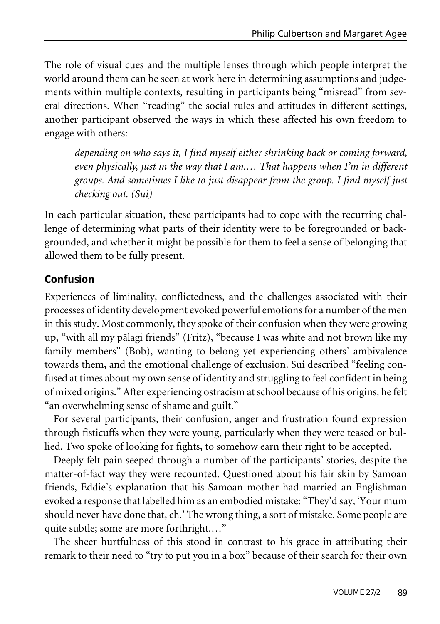The role of visual cues and the multiple lenses through which people interpret the world around them can be seen at work here in determining assumptions and judgements within multiple contexts, resulting in participants being "misread" from several directions. When "reading" the social rules and attitudes in different settings, another participant observed the ways in which these affected his own freedom to engage with others:

*depending on who says it, I find myself either shrinking back or coming forward, even physically, just in the way that I am.… That happens when I'm in different groups. And sometimes I like to just disappear from the group. I find myself just checking out. (Sui)*

In each particular situation, these participants had to cope with the recurring challenge of determining what parts of their identity were to be foregrounded or backgrounded, and whether it might be possible for them to feel a sense of belonging that allowed them to be fully present.

#### **Confusion**

Experiences of liminality, conflictedness, and the challenges associated with their processes of identity development evoked powerful emotions for a number of the men in this study. Most commonly, they spoke of their confusion when they were growing up, "with all my pälagi friends" (Fritz), "because I was white and not brown like my family members" (Bob), wanting to belong yet experiencing others' ambivalence towards them, and the emotional challenge of exclusion. Sui described "feeling confused at times about my own sense of identity and struggling to feel confident in being of mixed origins." After experiencing ostracism at school because of his origins, he felt "an overwhelming sense of shame and guilt."

For several participants, their confusion, anger and frustration found expression through fisticuffs when they were young, particularly when they were teased or bullied. Two spoke of looking for fights, to somehow earn their right to be accepted.

Deeply felt pain seeped through a number of the participants' stories, despite the matter-of-fact way they were recounted. Questioned about his fair skin by Samoan friends, Eddie's explanation that his Samoan mother had married an Englishman evoked a response that labelled him as an embodied mistake: "They'd say, 'Your mum should never have done that, eh.' The wrong thing, a sort of mistake. Some people are quite subtle; some are more forthright.…"

The sheer hurtfulness of this stood in contrast to his grace in attributing their remark to their need to "try to put you in a box" because of their search for their own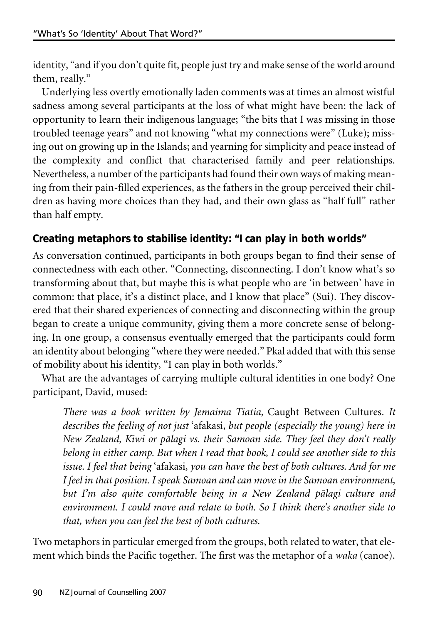identity, "and if you don't quite fit, people just try and make sense of the world around them, really."

Underlying less overtly emotionally laden comments was at times an almost wistful sadness among several participants at the loss of what might have been: the lack of opportunity to learn their indigenous language; "the bits that I was missing in those troubled teenage years" and not knowing "what my connections were" (Luke); missing out on growing up in the Islands; and yearning for simplicity and peace instead of the complexity and conflict that characterised family and peer relationships. Nevertheless, a number of the participants had found their own ways of making meaning from their pain-filled experiences, as the fathers in the group perceived their children as having more choices than they had, and their own glass as "half full" rather than half empty.

# **Creating metaphors to stabilise identity: "I can play in both worlds"**

As conversation continued, participants in both groups began to find their sense of connectedness with each other. "Connecting, disconnecting. I don't know what's so transforming about that, but maybe this is what people who are 'in between' have in common: that place, it's a distinct place, and I know that place" (Sui). They discovered that their shared experiences of connecting and disconnecting within the group began to create a unique community, giving them a more concrete sense of belonging. In one group, a consensus eventually emerged that the participants could form an identity about belonging "where they were needed." Pkal added that with this sense of mobility about his identity, "I can play in both worlds."

What are the advantages of carrying multiple cultural identities in one body? One participant, David, mused:

*There was a book written by Jemaima Tiatia,* Caught Between Cultures*. It describes the feeling of not just* 'afakasi*, but people (especially the young) here in New Zealand, Kiwi or pälagi vs. their Samoan side. They feel they don't really belong in either camp. But when I read that book, I could see another side to this issue. I feel that being* 'afakasi*, you can have the best of both cultures. And for me I feel in that position. I speak Samoan and can move in the Samoan environment, but I'm also quite comfortable being in a New Zealand pälagi culture and environment. I could move and relate to both. So I think there's another side to that, when you can feel the best of both cultures.*

Two metaphors in particular emerged from the groups, both related to water, that element which binds the Pacific together. The first was the metaphor of a *waka* (canoe).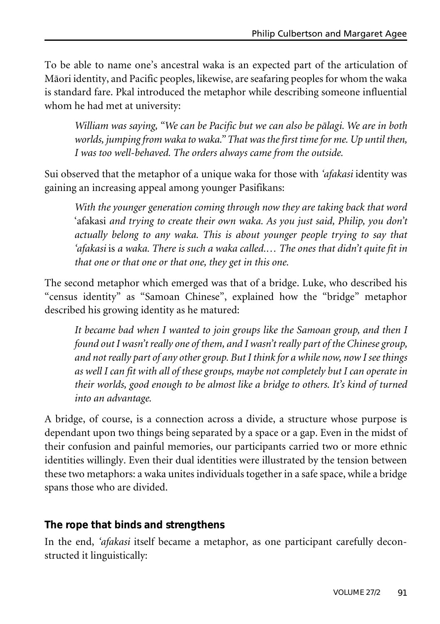To be able to name one's ancestral waka is an expected part of the articulation of Mäori identity, and Pacific peoples, likewise, are seafaring peoples for whom the waka is standard fare. Pkal introduced the metaphor while describing someone influential whom he had met at university:

*William was saying, "We can be Pacific but we can also be pälagi. We are in both worlds, jumping from waka to waka." That was thefirst timefor me. Up until then, I was too well-behaved. The orders always came from the outside.*

Sui observed that the metaphor of a unique waka for those with *'afakasi* identity was gaining an increasing appeal among younger Pasifikans:

*With the younger generation coming through now they are taking back that word* 'afakasi *and trying to create their own waka. As you just said, Philip, you don't actually belong to any waka. This is about younger people trying to say that 'afakasi* is *a waka. There is such a waka called.… The ones that didn't quite fit in that one or that one or that one, they get in this one.*

The second metaphor which emerged was that of a bridge. Luke, who described his "census identity" as "Samoan Chinese", explained how the "bridge" metaphor described his growing identity as he matured:

*It became bad when I wanted to join groups like the Samoan group, and then I found out I wasn't really one of them, and I wasn't really part of the Chinese group, and not really part of any other group. But I think for a while now, now I seethings as well I can fit with all of these groups, maybe not completely but I can operate in their worlds, good enough to be almost like a bridge to others. It's kind of turned into an advantage.*

A bridge, of course, is a connection across a divide, a structure whose purpose is dependant upon two things being separated by a space or a gap. Even in the midst of their confusion and painful memories, our participants carried two or more ethnic identities willingly. Even their dual identities were illustrated by the tension between these two metaphors: a waka unites individuals together in a safe space, while a bridge spans those who are divided.

## **The rope that binds and strengthens**

In the end, *'afakasi* itself became a metaphor, as one participant carefully deconstructed it linguistically: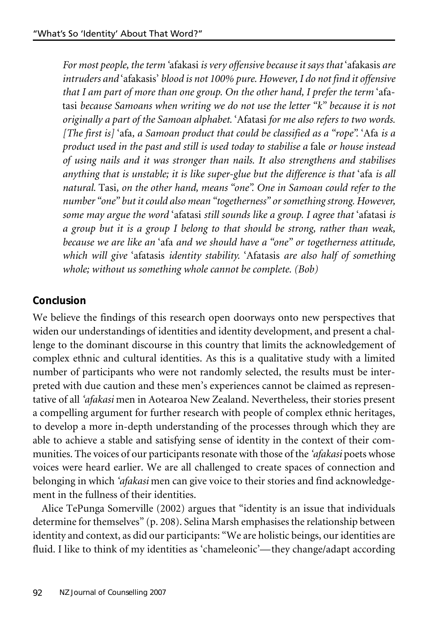*For most people, the term* 'afakasi *is very offensive because it says that* 'afakasis *are intruders and* 'afakasis' *blood is not 100% pure. However, I do not find it offensive that I am part of more than one group. On the other hand, I prefer the term* 'afatasi *because Samoans when writing we do not use the letter "k" because it is not originally a part of the Samoan alphabet.* 'Afatasi *for me also refers to two words. [The first is]* 'afa*, a Samoan product that could be classified as a "rope".* 'Afa *is a product used in the past and still is used today to stabilise a* fale *or house instead of using nails and it was stronger than nails. It also strengthens and stabilises anything that is unstable; it is like super-glue but the difference is that* 'afa *is all natural.* Tasi*, on the other hand, means "one". One in Samoan could refer to the number "one" but it could also mean "togetherness" or something strong. However, some may argue the word* 'afatasi *still sounds like a group. I agree that* 'afatasi *is a group but it is a group I belong to that should be strong, rather than weak, because we are like an* 'afa *and we should have a "one" or togetherness attitude, which will give* 'afatasis *identity stability.* 'Afatasis *are also half of something whole; without us something whole cannot be complete. (Bob)*

# **Conclusion**

We believe the findings of this research open doorways onto new perspectives that widen our understandings of identities and identity development, and present a challenge to the dominant discourse in this country that limits the acknowledgement of complex ethnic and cultural identities. As this is a qualitative study with a limited number of participants who were not randomly selected, the results must be interpreted with due caution and these men's experiences cannot be claimed as representative of all *'afakasi* men in Aotearoa New Zealand. Nevertheless, their stories present a compelling argument for further research with people of complex ethnic heritages, to develop a more in-depth understanding of the processes through which they are able to achieve a stable and satisfying sense of identity in the context of their communities. The voices of our participants resonate with those of the *'afakasi* poets whose voices were heard earlier. We are all challenged to create spaces of connection and belonging in which *'afakasi* men can give voice to their stories and find acknowledgement in the fullness of their identities.

Alice TePunga Somerville (2002) argues that "identity is an issue that individuals determine for themselves" (p. 208). Selina Marsh emphasises the relationship between identity and context, as did our participants: "We are holistic beings, our identities are fluid. I like to think of my identities as 'chameleonic'—they change/adapt according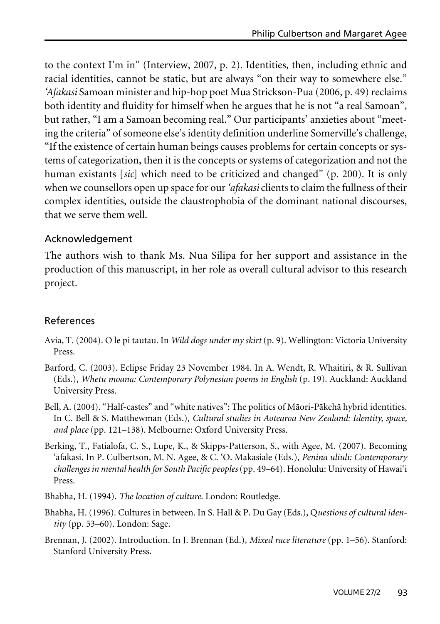to the context I'm in" (Interview, 2007, p. 2). Identities, then, including ethnic and racial identities, cannot be static, but are always "on their way to somewhere else." *'Afakasi* Samoan minister and hip-hop poet Mua Strickson-Pua (2006, p. 49) reclaims both identity and fluidity for himself when he argues that he is not "a real Samoan", but rather, "I am a Samoan becoming real." Our participants' anxieties about "meeting the criteria" of someone else's identity definition underline Somerville's challenge, "If the existence of certain human beings causes problems for certain concepts or systems of categorization, then it is the concepts or systems of categorization and not the human existants [*sic*] which need to be criticized and changed" (p. 200). It is only when we counsellors open up space for our*'afakasi* clients to claim the fullness of their complex identities, outside the claustrophobia of the dominant national discourses, that we serve them well.

#### Acknowledgement

The authors wish to thank Ms. Nua Silipa for her support and assistance in the production of this manuscript, in her role as overall cultural advisor to this research project.

#### References

- Avia, T. (2004). O le pi tautau. In *Wild dogs under my skirt* (p. 9). Wellington: Victoria University Press.
- Barford, C. (2003). Eclipse Friday 23 November 1984. In A. Wendt, R. Whaitiri, & R. Sullivan (Eds.), *Whetu moana: Contemporary Polynesian poems in English* (p. 19). Auckland: Auckland University Press.
- Bell, A. (2004). "Half-castes" and "white natives": The politics of Mäori-Päkehä hybrid identities. In C. Bell & S. Matthewman (Eds.), *Cultural studies in Aotearoa New Zealand: Identity, space, and place* (pp. 121–138). Melbourne: Oxford University Press.
- Berking, T., Fatialofa, C. S., Lupe, K., & Skipps-Patterson, S., with Agee, M. (2007). Becoming 'afakasi. In P. Culbertson, M. N. Agee, & C. 'O. Makasiale (Eds.), *Penina uliuli: Contemporary challenges in mental health for South Pacific peoples*(pp. 49–64). Honolulu: University of Hawai'i Press.
- Bhabha, H. (1994). *The location of culture*. London: Routledge.
- Bhabha, H. (1996). Cultures in between. In S. Hall & P. Du Gay (Eds.), Q*uestions of cultural identity* (pp. 53–60). London: Sage.
- Brennan, J. (2002). Introduction. In J. Brennan (Ed.), *Mixed race literature* (pp. 1–56). Stanford: Stanford University Press.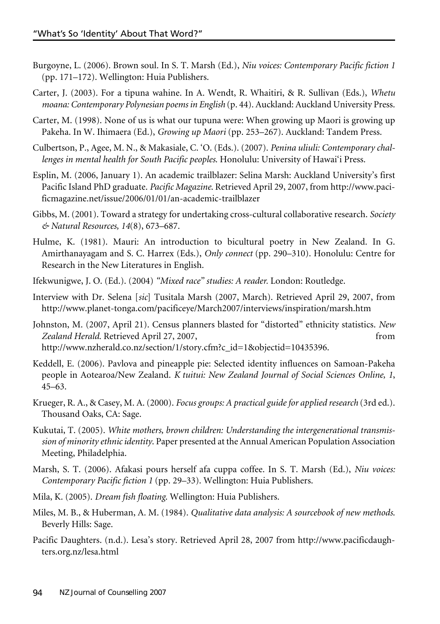- Burgoyne, L. (2006). Brown soul. In S. T. Marsh (Ed.), *Niu voices: Contemporary Pacific fiction 1* (pp. 171–172). Wellington: Huia Publishers.
- Carter, J. (2003). For a tipuna wahine. In A. Wendt, R. Whaitiri, & R. Sullivan (Eds.), *Whetu moana: Contemporary Polynesian poems in English* (p. 44). Auckland: Auckland University Press.
- Carter, M. (1998). None of us is what our tupuna were: When growing up Maori is growing up Pakeha. In W. Ihimaera (Ed.), *Growing up Maori* (pp. 253–267). Auckland: Tandem Press.
- Culbertson, P., Agee, M. N., & Makasiale, C. 'O. (Eds.). (2007). *Penina uliuli: Contemporary challenges in mental health for South Pacific peoples*. Honolulu: University of Hawai'i Press.
- Esplin, M. (2006, January 1). An academic trailblazer: Selina Marsh: Auckland University's first Pacific Island PhD graduate. *Pacific Magazine*. Retrieved April 29, 2007, from http://www.pacificmagazine.net/issue/2006/01/01/an-academic-trailblazer
- Gibbs, M. (2001). Toward a strategy for undertaking cross-cultural collaborative research. *Society & Natural Resources, 14*(8), 673–687.
- Hulme, K. (1981). Mauri: An introduction to bicultural poetry in New Zealand. In G. Amirthanayagam and S. C. Harrex (Eds.), *Only connect* (pp. 290–310). Honolulu: Centre for Research in the New Literatures in English.
- Ifekwunigwe, J. O. (Ed.). (2004) *"Mixed race" studies: A reader.* London: Routledge.
- Interview with Dr. Selena [*sic*] Tusitala Marsh (2007, March). Retrieved April 29, 2007, from http://www.planet-tonga.com/pacificeye/March2007/interviews/inspiration/marsh.htm
- Johnston, M. (2007, April 21). Census planners blasted for "distorted" ethnicity statistics. *New Zealand Herald*. Retrieved April 27, 2007, from http://www.nzherald.co.nz/section/1/story.cfm?c\_id=1&objectid=10435396.
- Keddell, E. (2006). Pavlova and pineapple pie: Selected identity influences on Samoan-Pakeha people in Aotearoa/New Zealand. *K tuitui: New Zealand Journal of Social Sciences Online, 1*, 45–63.
- Krueger, R. A., & Casey, M. A. (2000). *Focus groups: A practical guidefor applied research* (3rd ed.). Thousand Oaks, CA: Sage.
- Kukutai, T. (2005). *White mothers, brown children: Understanding the intergenerational transmission of minority ethnic identity*. Paper presented at the Annual American Population Association Meeting, Philadelphia.
- Marsh, S. T. (2006). Afakasi pours herself afa cuppa coffee. In S. T. Marsh (Ed.), *Niu voices: Contemporary Pacific fiction 1* (pp. 29–33). Wellington: Huia Publishers.
- Mila, K. (2005). *Dream fish floating*. Wellington: Huia Publishers.
- Miles, M. B., & Huberman, A. M. (1984). *Qualitative data analysis: A sourcebook of new methods*. Beverly Hills: Sage.
- Pacific Daughters. (n.d.). Lesa's story. Retrieved April 28, 2007 from http://www.pacificdaughters.org.nz/lesa.html